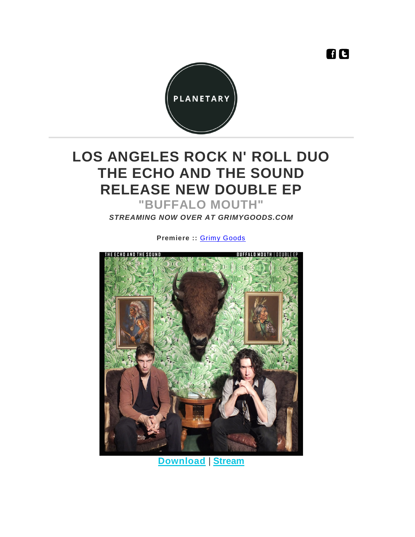

## **LOS ANGELES ROCK N' ROLL DUO THE ECHO AND THE SOUND RELEASE NEW DOUBLE EP**

**"BUFFALO MOUTH"**

*STREAMING NOW OVER AT GRIMYGOODS.COM*

**Premiere ::** [Grimy Goods](http://www.grimygoods.com/2015/10/28/stream-the-echo-and-the-sounds-new-album-buffalo-mouth/)



**[Download](https://theechoandthesound.bandcamp.com/)** | **[Stream](https://theechoandthesound.bandcamp.com/)**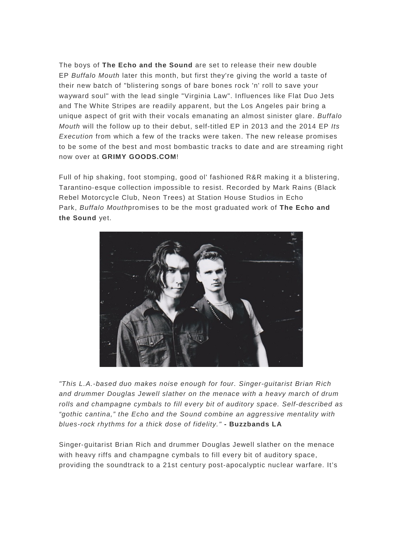The boys of **The Echo and the Sound** are set to release their new double EP *Buffalo Mouth* later this month, but first they're giving the world a taste of their new batch of "blistering songs of bare bones rock 'n' roll to save your wayward soul" with the lead single "Virginia Law". Influences like Flat Duo Jets and The White Stripes are readily apparent, but the Los Angeles pair bring a unique aspect of grit with their vocals emanating an almost sinister glare. *Buffalo Mouth* will the follow up to their debut, self-titled EP in 2013 and the 2014 EP *Its Execution* from which a few of the tracks were taken. The new release promises to be some of the best and most bombastic tracks to date and are streaming right now over at **GRIMY GOODS.COM**!

Full of hip shaking, foot stomping, good ol' fashioned R&R making it a blistering, Tarantino‐esque collection impossible to resist. Recorded by Mark Rains (Black Rebel Motorcycle Club, Neon Trees) at Station House Studios in Echo Park, *Buffalo Mouth*promises to be the most graduated work of **The Echo and the Sound** yet.



*"This L.A.-based duo makes noise enough for four. Singer-guitarist Brian Rich and drummer Douglas Jewell slather on the menace with a heavy march of drum rolls and champagne cymbals to fill every bit of auditory space. Self-described as "gothic cantina," the Echo and the Sound combine an aggressive mentality with blues-rock rhythms for a thick dose of fidelity."* **- Buzzbands LA**

Singer‐guitarist Brian Rich and drummer Douglas Jewell slather on the menace with heavy riffs and champagne cymbals to fill every bit of auditory space, providing the soundtrack to a 21st century post‐apocalyptic nuclear warfare. It's